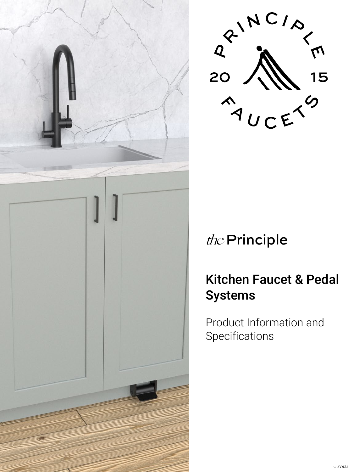



## the Principle

## Kitchen Faucet & Pedal Systems

Product Information and **Specifications**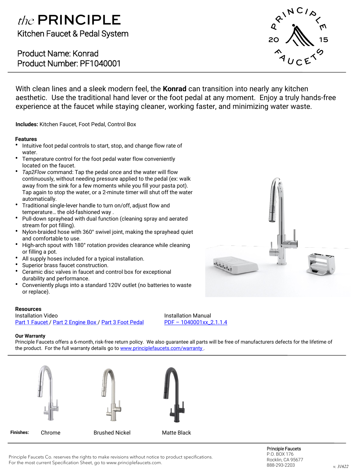### the PRINCIPLE Kitchen Faucet & Pedal System

Product Name: Konrad Product Number: PF1040001



With clean lines and a sleek modern feel, the **Konrad** can transition into nearly any kitchen aesthetic. Use the traditional hand lever or the foot pedal at any moment. Enjoy a truly hands-free experience at the faucet while staying cleaner, working faster, and minimizing water waste.

**Includes:** Kitchen Faucet, Foot Pedal, Control Box

#### **Features**

- Intuitive foot pedal controls to start, stop, and change flow rate of water.
- Temperature control for the foot pedal water flow conveniently located on the faucet.
- *Tap2Flow c*ommand: Tap the pedal once and the water will flow continuously, without needing pressure applied to the pedal (ex: walk away from the sink for a few moments while you fill your pasta pot). Tap again to stop the water, or a 2-minute timer will shut off the water automatically.
- Traditional single-lever handle to turn on/off, adjust flow and temperature… the old-fashioned way .
- Pull-down sprayhead with dual function (cleaning spray and aerated stream for pot filling).
- Nylon-braided hose with 360° swivel joint, making the sprayhead quiet and comfortable to use.
- High-arch spout with 180° rotation provides clearance while cleaning or filling a pot.
- All supply hoses included for a typical installation.
- Superior brass faucet construction.
- Ceramic disc valves in faucet and control box for exceptional durability and performance.
- Conveniently plugs into a standard 120V outlet (no batteries to waste or replace).

### **Resources**

Installation Video [Part 1 Faucet](https://youtu.be/pwrje4J21hI) / [Part 2 Engine Box](https://youtu.be/j0m1AgH3e_w) / [Part 3 Foot Pedal](https://youtu.be/jYOCb3harOo) Installation Manual PDF – [1040001xx\\_2.1.1.4](https://f4e0a754-7af9-4683-9d6e-272832821de8.usrfiles.com/ugd/f4e0a7_24f42598295e4cf9a621047163329b6c.pdf)

#### **Our Warranty**

**Finishes:**

Principle Faucets offers a 6-month, risk-free return policy. We also guarantee all parts will be free of manufacturers defects for the lifetime of the product. For the full warranty details go to www.principlefaucets.com/warranty.





Chrome **Brushed Nickel** Matte Black



Principle Faucets Co. reserves the rights to make revisions without notice to product specifications. For the most current Specification Sheet, go to www.principlefaucets.com.